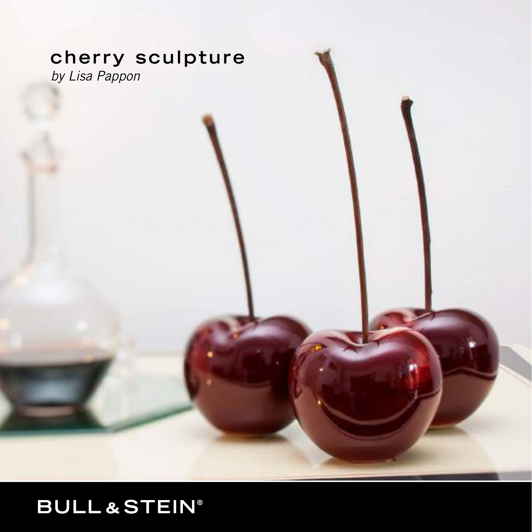# **cherry sculpture**

*by Lisa Pappon*

# **BULL&STEIN®**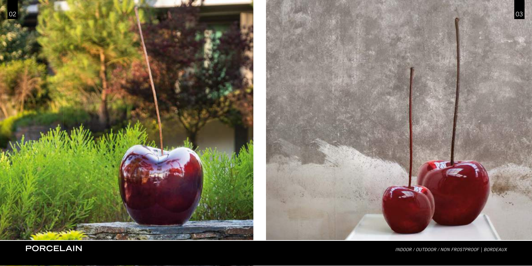



**PORCELAIN** *INDOOR / OUTDOOR / NON FROSTPROOF | BORDEAUX*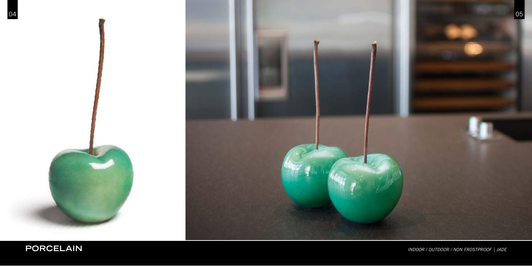

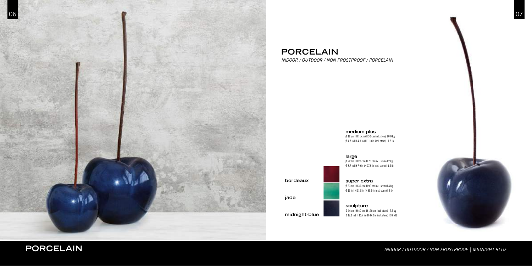**medium plus**  Ø 12 cm | H 11 cm (H 30 cm incl. stem) | 0,6 kg Ø 4.7 in | H 4.3 in (H 11.8 in incl. stem) | 1.5 lb





**bordeaux**

**jade** 

## **PORCELAIN**

*INDOOR / OUTDOOR / NON FROSTPROOF / PORCELAIN*



**PORCELAIN** *INDOOR / OUTDOOR / NON FROSTPROOF | MIDNIGHT-BLUE*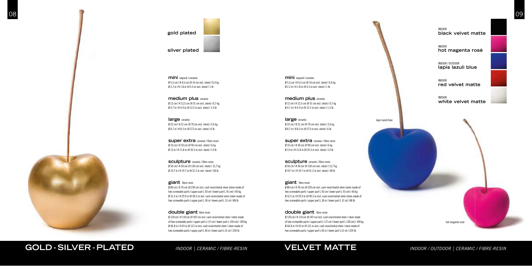**medium plus** ceramic Ø 12 cm | H 12,5 cm (H 31 cm incl. stem) | 0,7 kg Ø 4.7 in | H 4.9 in (H 12.2 in incl. stem) | 1.5 lb

**super extra** ceramic / fibre-resin Ø 33 cm | H 30 cm (H 90 cm incl. stem) | 6 kg Ø 13 in | H 11.8 in (H 35.5 in incl. stem) | 13 lb

**large** ceramic Ø 22 cm | H 21 cm (H 70 cm incl. stem) | 2,6 kg Ø 8.7 in | H 8.3 in (H 27.5 in incl. stem) | 6 lb

**sculpture ceramic** / fibre-resin Ø 50 cm | H 50 cm (H 130 cm incl. stem) | 12,7 kg Ø 19.7 in | H 19.7 in (H 51.2 in incl. stem) | 28 lb

giant fibre-resin Ø 80 cm | H 76 cm (H 230 cm incl. cast-resin/metal stem (stem made of two screwable parts | upper part L 92 cm | lower part L 91 cm) | 40 kg Ø 31.5 in | H 29.9 in (H 90.5 in incl. cast-resin/metal stem (stem made of two screwable parts | upper part L 36 in | lower part L 31 in) | 88 lb

### **double giant** fibre-resin

**mini** sixpack | ceramic Ø 5,5 cm | H 4,5 cm (H 14 cm incl. stem) | 0,4 kg  $\emptyset$  2.2 in | H 1.8 in (H 5.5 in incl. stem) | 1 lb

**medium plus** ceramic Ø 12 cm | H 12,5 cm (H 31 cm incl. stem) | 0,7 kg Ø 4.7 in | H 4.9 in (H 12.2 in incl. stem) | 1.5 lb

**super extra** ceramic / fibre-resin Ø 33 cm | H 30 cm (H 90 cm incl. stem) | 6 kg Ø 13 in | H 11.8 in (H 35.5 in incl. stem) | 13 lb

**sculpture ceramic** / fibre-resin Ø 50 cm | H 50 cm (H 130 cm incl. stem) | 12,7 kg Ø 19.7 in | H 19.7 in (H 51.2 in incl. stem) | 28 lb

giant fibre-resin

Ø 120 cm | H 110 cm (H 307 cm incl. cast-resin/metal stem | stem made of two screwable parts | upper part L 117 cm | lower part L 130 cm) | 100 kg Ø 46.8 in | H 43 in (H 121 in incl. cast-resin/metal stem | stem made of two screwable parts | upper part L 46 in | lower part L 51 in) | 220 lb

**gold plated**

### **silver plated**

**mini** sixpack | ceramic Ø 5,5 cm | H 4,5 cm (H 14 cm incl. stem) | 0,4 kg  $\emptyset$  2.2 in | H 1.8 in (H 5.5 in incl. stem) | 1 lb

> **large** ceramic Ø 22 cm | H 21 cm (H 70 cm incl. stem) | 2,6 kg Ø 8.7 in | H 8.3 in (H 27.5 in incl. stem) | 6 lb

Ø 80 cm | H 76 cm (H 230 cm incl. cast-resin/metal stem (stem made of two screwable parts I upper part L 92 cm I lower part L 91 cm) I 40 kg Ø 31.5 in | H 29.9 in (H 90.5 in incl. cast-resin/metal stem (stem made of two screwable parts | upper part L 36 in | lower part L 31 in) | 88 lb

Ø 120 cm | H 110 cm (H 307 cm incl. cast-resin/metal stem | stem made of two screwable parts | upper part L 117 cm | lower part L 130 cm) | 100 kg Ø 46.8 in | H 43 in (H 121 in incl. cast-resin/metal stem | stem made of two screwable parts | upper part L 46 in | lower part L 51 in) | 220 lb

INDOOR **black velvet matte**

INDOOR **hot magenta rosé** 

INDOOR / OUTDOOR **lapis lazuli blue** 

INDOOR **red velvet matte** 

INDOOR



lapis lazuli blue

### **double giant** fibre-resin



## **GOLD - SILVER - PLATED** *INDOOR | CERAMIC / FIBRE-RESIN* **VELVET MATTE** *INDOOR / OUTDOOR | CERAMIC / FIBRE-RESIN*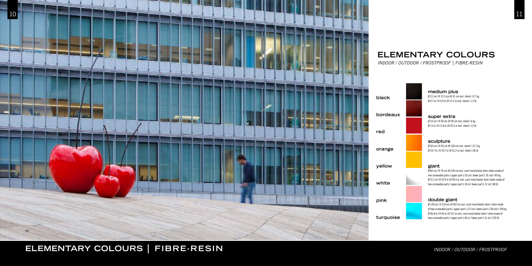### **medium plus**

Ø 12 cm | H 12,5 cm (H 31 cm incl. stem) | 0,7 kg Ø 4.7 in | H 4.9 in (H 12.2 in incl. stem) | 1.5 lb

## **super extra**

Ø 33 cm | H 30 cm (H 90 cm incl. stem) | 6 kg Ø 13 in | H 11.8 in (H 35.5 in incl. stem) | 13 lb

### **sculpture**  Ø 50 cm | H 50 cm (H 130 cm incl. stem) | 12,7 kg Ø 19.7 in | H 19.7 in (H 51.2 in incl. stem) | 28 lb

### **giant**

Ø 80 cm | H 76 cm (H 230 cm incl. cast-resin/metal stem (stem made of two screwable parts | upper part L 92 cm | lower part L 91 cm) | 40 kg Ø 31.5 in | H 29.9 in (H 90.5 in incl. cast-resin/metal stem (stem made of two screwable parts | upper part L 36 in | lower part L 31 in) | 88 lb

### **double giant**

Ø 120 cm | H 110 cm (H 307 cm incl. cast-resin/metal stem | stem made of two screwable parts | upper part L 117 cm | lower part L 130 cm) | 100 kg Ø 46.8 in | H 43 in (H 121 in incl. cast-resin/metal stem | stem made of two screwable parts | upper part L 46 in | lower part L 51 in) | 220 lb



## **ELEMENTARY COLOURS**

*INDOOR / OUTDOOR / FROSTPROOF | FIBRE-RESIN*



# **ELEMENTARY COLOURS | FIBRE-RESIN** *INDOOR / OUTDOOR / FROSTPROOF*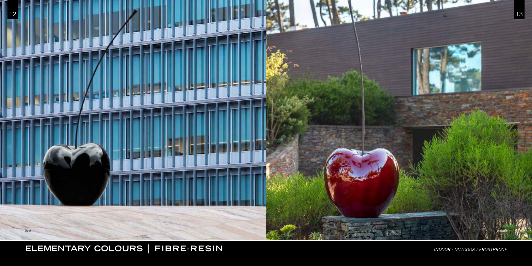

# **ELEMENTARY COLOURS | FIBRE-RESIN** *INDOOR / OUTDOOR / FROSTPROOF*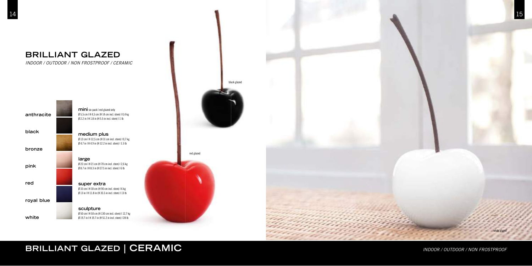

## **BRILLIANT GLAZED**

*INDOOR / OUTDOOR / NON FROSTPROOF / CERAMIC*





# **BRILLIANT GLAZED | CERAMIC** *INDOOR / OUTDOOR / NON FROSTPROOF*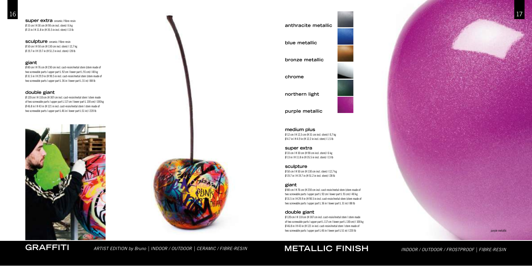**super extra** ceramic / fibre-resin Ø 33 cm | H 30 cm (H 90 cm incl. stem) | 6 kg Ø 13 in | H 11.8 in (H 35.5 in incl. stem) | 13 lb

**sculpture** ceramic / fibre-resin Ø 50 cm | H 50 cm (H 130 cm incl. stem) | 12,7 kg Ø 19.7 in | H 19.7 in (H 51.2 in incl. stem) | 28 lb

### **giant**

Ø 80 cm | H 76 cm (H 230 cm incl. cast-resin/metal stem (stem made of two screwable parts | upper part L 92 cm | lower part L 91 cm) | 40 kg Ø 31.5 in | H 29.9 in (H 90.5 in incl. cast-resin/metal stem (stem made of two screwable parts | upper part L 36 in | lower part L 31 in) | 88 lb

### **double giant**

Ø 120 cm | H 110 cm (H 307 cm incl. cast-resin/metal stem | stem made of two screwable parts | upper part L 117 cm | lower part L 130 cm) | 100 kg Ø 46.8 in | H 43 in (H 121 in incl. cast-resin/metal stem | stem made of two screwable parts | upper part L 46 in | lower part L 51 in) | 220 lb





### **medium plus**

Ø 12 cm | H 12,5 cm (H 31 cm incl. stem) | 0,7 kg Ø 4.7 in | H 4.9 in (H 12.2 in incl. stem) | 1.5 lb

### **super extra**

Ø 33 cm | H 30 cm (H 90 cm incl. stem) | 6 kg Ø 13 in | H 11.8 in (H 35.5 in incl. stem) | 13 lb

### **sculpture**

Ø 50 cm | H 50 cm (H 130 cm incl. stem) | 12,7 kg Ø 19.7 in | H 19.7 in (H 51.2 in incl. stem) | 28 lb

### **giant**

Ø 80 cm | H 76 cm (H 230 cm incl. cast-resin/metal stem (stem made of two screwable parts | upper part L 92 cm | lower part L 91 cm) | 40 kg Ø 31.5 in | H 29.9 in (H 90.5 in incl. cast-resin/metal stem (stem made of two screwable parts | upper part L 36 in | lower part L 31 in) | 88 lb

### **double giant**

Ø 120 cm | H 110 cm (H 307 cm incl. cast-resin/metal stem | stem made of two screwable parts | upper part L 117 cm | lower part L 130 cm) | 100 kg Ø 46.8 in | H 43 in (H 121 in incl. cast-resin/metal stem | stem made of two screwable parts | upper part L 46 in | lower part L 51 in) | 220 lb

### **anthracite metallic**

**blue metallic** 

**bronze metallic** 

**chrome** 

**northern light** 



**purple metallic**



**GRAFFITI** *ARTIST EDITION by Bruno | INDOOR / OUTDOOR | CERAMIC / FIBRE-RESIN* **METALLIC FINISH** *INDOOR / OUTDOOR / FROSTPROOF | FIBRE-RESIN*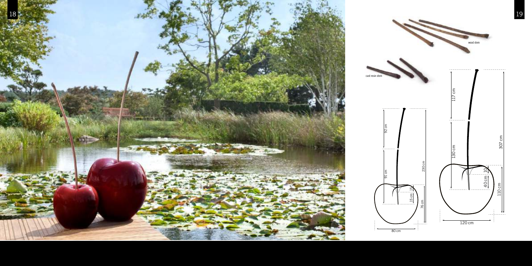